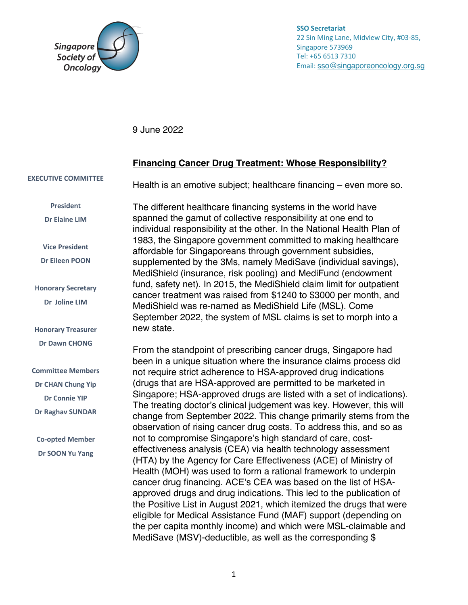

**SSO Secretariat** 22 Sin Ming Lane, Midview City, #03-85, Singapore 573969 Tel: +65 6513 7310 Email: sso@singaporeoncology.org.sg

9 June 2022

## **Financing Cancer Drug Treatment: Whose Responsibility?**

**EXECUTIVE COMMITTEE**

**President Dr Elaine LIM**

**Vice President Dr Eileen POON**

**Honorary Secretary Dr Joline LIM**

**Honorary Treasurer Dr Dawn CHONG**

**Committee Members Dr CHAN Chung Yip Dr Connie YIP Dr Raghav SUNDAR**

**Co-opted Member Dr SOON Yu Yang**

Health is an emotive subject; healthcare financing – even more so.

The different healthcare financing systems in the world have spanned the gamut of collective responsibility at one end to individual responsibility at the other. In the National Health Plan of 1983, the Singapore government committed to making healthcare affordable for Singaporeans through government subsidies, supplemented by the 3Ms, namely MediSave (individual savings), MediShield (insurance, risk pooling) and MediFund (endowment fund, safety net). In 2015, the MediShield claim limit for outpatient cancer treatment was raised from \$1240 to \$3000 per month, and MediShield was re-named as MediShield Life (MSL). Come September 2022, the system of MSL claims is set to morph into a new state.

From the standpoint of prescribing cancer drugs, Singapore had been in a unique situation where the insurance claims process did not require strict adherence to HSA-approved drug indications (drugs that are HSA-approved are permitted to be marketed in Singapore; HSA-approved drugs are listed with a set of indications). The treating doctor's clinical judgement was key. However, this will change from September 2022. This change primarily stems from the observation of rising cancer drug costs. To address this, and so as not to compromise Singapore's high standard of care, costeffectiveness analysis (CEA) via health technology assessment (HTA) by the Agency for Care Effectiveness (ACE) of Ministry of Health (MOH) was used to form a rational framework to underpin cancer drug financing. ACE's CEA was based on the list of HSAapproved drugs and drug indications. This led to the publication of the Positive List in August 2021, which itemized the drugs that were eligible for Medical Assistance Fund (MAF) support (depending on the per capita monthly income) and which were MSL-claimable and MediSave (MSV)-deductible, as well as the corresponding \$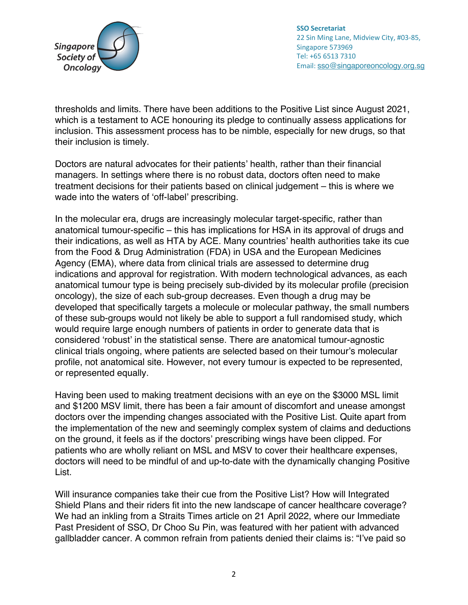

**SSO Secretariat** 22 Sin Ming Lane, Midview City, #03-85, Singapore 573969 Tel: +65 6513 7310 Email: sso@singaporeoncology.org.sg

thresholds and limits. There have been additions to the Positive List since August 2021, which is a testament to ACE honouring its pledge to continually assess applications for inclusion. This assessment process has to be nimble, especially for new drugs, so that their inclusion is timely.

Doctors are natural advocates for their patients' health, rather than their financial managers. In settings where there is no robust data, doctors often need to make treatment decisions for their patients based on clinical judgement – this is where we wade into the waters of 'off-label' prescribing.

In the molecular era, drugs are increasingly molecular target-specific, rather than anatomical tumour-specific – this has implications for HSA in its approval of drugs and their indications, as well as HTA by ACE. Many countries' health authorities take its cue from the Food & Drug Administration (FDA) in USA and the European Medicines Agency (EMA), where data from clinical trials are assessed to determine drug indications and approval for registration. With modern technological advances, as each anatomical tumour type is being precisely sub-divided by its molecular profile (precision oncology), the size of each sub-group decreases. Even though a drug may be developed that specifically targets a molecule or molecular pathway, the small numbers of these sub-groups would not likely be able to support a full randomised study, which would require large enough numbers of patients in order to generate data that is considered 'robust' in the statistical sense. There are anatomical tumour-agnostic clinical trials ongoing, where patients are selected based on their tumour's molecular profile, not anatomical site. However, not every tumour is expected to be represented, or represented equally.

Having been used to making treatment decisions with an eye on the \$3000 MSL limit and \$1200 MSV limit, there has been a fair amount of discomfort and unease amongst doctors over the impending changes associated with the Positive List. Quite apart from the implementation of the new and seemingly complex system of claims and deductions on the ground, it feels as if the doctors' prescribing wings have been clipped. For patients who are wholly reliant on MSL and MSV to cover their healthcare expenses, doctors will need to be mindful of and up-to-date with the dynamically changing Positive List.

Will insurance companies take their cue from the Positive List? How will Integrated Shield Plans and their riders fit into the new landscape of cancer healthcare coverage? We had an inkling from a Straits Times article on 21 April 2022, where our Immediate Past President of SSO, Dr Choo Su Pin, was featured with her patient with advanced gallbladder cancer. A common refrain from patients denied their claims is: "I've paid so